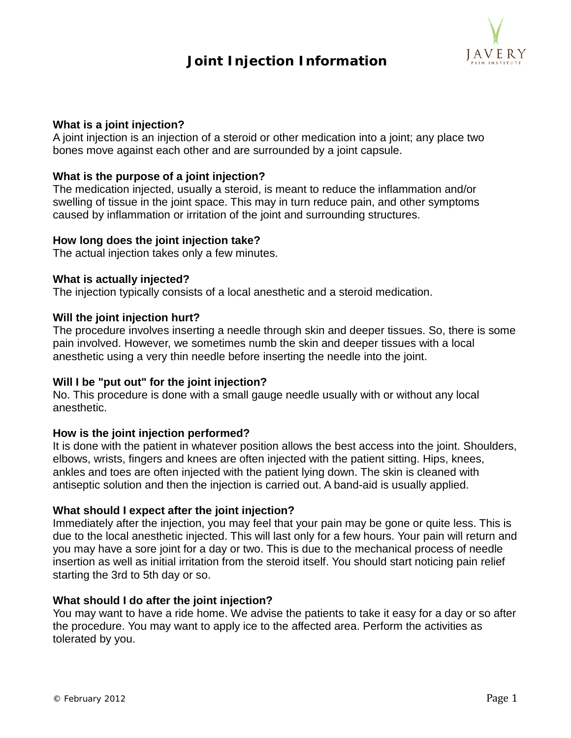# **Joint Injection Information**



# **What is a joint injection?**

A joint injection is an injection of a steroid or other medication into a joint; any place two bones move against each other and are surrounded by a joint capsule.

# **What is the purpose of a joint injection?**

The medication injected, usually a steroid, is meant to reduce the inflammation and/or swelling of tissue in the joint space. This may in turn reduce pain, and other symptoms caused by inflammation or irritation of the joint and surrounding structures.

### **How long does the joint injection take?**

The actual injection takes only a few minutes.

### **What is actually injected?**

The injection typically consists of a local anesthetic and a steroid medication.

# **Will the joint injection hurt?**

The procedure involves inserting a needle through skin and deeper tissues. So, there is some pain involved. However, we sometimes numb the skin and deeper tissues with a local anesthetic using a very thin needle before inserting the needle into the joint.

# **Will I be "put out" for the joint injection?**

No. This procedure is done with a small gauge needle usually with or without any local anesthetic.

### **How is the joint injection performed?**

It is done with the patient in whatever position allows the best access into the joint. Shoulders, elbows, wrists, fingers and knees are often injected with the patient sitting. Hips, knees, ankles and toes are often injected with the patient lying down. The skin is cleaned with antiseptic solution and then the injection is carried out. A band-aid is usually applied.

### **What should I expect after the joint injection?**

Immediately after the injection, you may feel that your pain may be gone or quite less. This is due to the local anesthetic injected. This will last only for a few hours. Your pain will return and you may have a sore joint for a day or two. This is due to the mechanical process of needle insertion as well as initial irritation from the steroid itself. You should start noticing pain relief starting the 3rd to 5th day or so.

### **What should I do after the joint injection?**

You may want to have a ride home. We advise the patients to take it easy for a day or so after the procedure. You may want to apply ice to the affected area. Perform the activities as tolerated by you.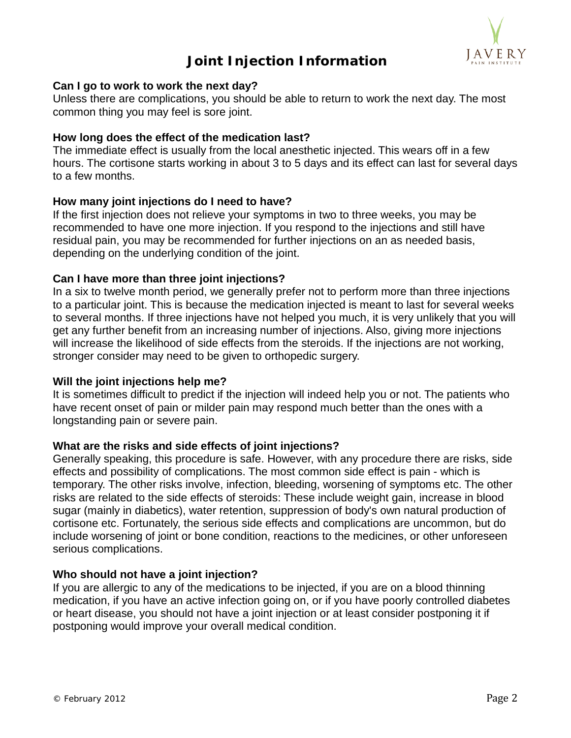

# **Joint Injection Information**

# **Can I go to work to work the next day?**

Unless there are complications, you should be able to return to work the next day. The most common thing you may feel is sore joint.

# **How long does the effect of the medication last?**

The immediate effect is usually from the local anesthetic injected. This wears off in a few hours. The cortisone starts working in about 3 to 5 days and its effect can last for several days to a few months.

# **How many joint injections do I need to have?**

If the first injection does not relieve your symptoms in two to three weeks, you may be recommended to have one more injection. If you respond to the injections and still have residual pain, you may be recommended for further injections on an as needed basis, depending on the underlying condition of the joint.

# **Can I have more than three joint injections?**

In a six to twelve month period, we generally prefer not to perform more than three injections to a particular joint. This is because the medication injected is meant to last for several weeks to several months. If three injections have not helped you much, it is very unlikely that you will get any further benefit from an increasing number of injections. Also, giving more injections will increase the likelihood of side effects from the steroids. If the injections are not working, stronger consider may need to be given to orthopedic surgery.

### **Will the joint injections help me?**

It is sometimes difficult to predict if the injection will indeed help you or not. The patients who have recent onset of pain or milder pain may respond much better than the ones with a longstanding pain or severe pain.

### **What are the risks and side effects of joint injections?**

Generally speaking, this procedure is safe. However, with any procedure there are risks, side effects and possibility of complications. The most common side effect is pain - which is temporary. The other risks involve, infection, bleeding, worsening of symptoms etc. The other risks are related to the side effects of steroids: These include weight gain, increase in blood sugar (mainly in diabetics), water retention, suppression of body's own natural production of cortisone etc. Fortunately, the serious side effects and complications are uncommon, but do include worsening of joint or bone condition, reactions to the medicines, or other unforeseen serious complications.

### **Who should not have a joint injection?**

If you are allergic to any of the medications to be injected, if you are on a blood thinning medication, if you have an active infection going on, or if you have poorly controlled diabetes or heart disease, you should not have a joint injection or at least consider postponing it if postponing would improve your overall medical condition.